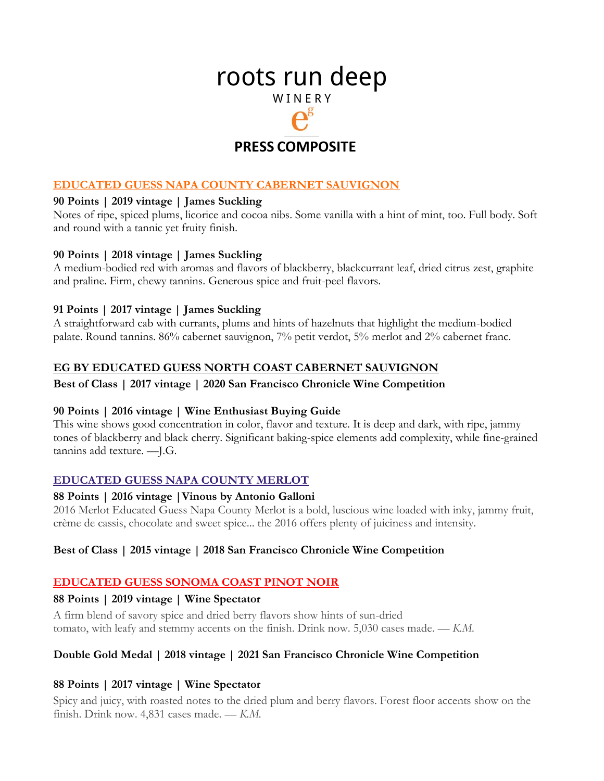# roots run deep W I N E R Y

## **PRESS COMPOSITE**

#### **EDUCATED GUESS NAPA COUNTY CABERNET SAUVIGNON**

## **90 Points | 2019 vintage | James Suckling**

Notes of ripe, spiced plums, licorice and cocoa nibs. Some vanilla with a hint of mint, too. Full body. Soft and round with a tannic yet fruity finish.

#### **90 Points | 2018 vintage | James Suckling**

A medium-bodied red with aromas and flavors of blackberry, blackcurrant leaf, dried citrus zest, graphite and praline. Firm, chewy tannins. Generous spice and fruit-peel flavors.

#### **91 Points | 2017 vintage | James Suckling**

A straightforward cab with currants, plums and hints of hazelnuts that highlight the medium-bodied palate. Round tannins. 86% cabernet sauvignon, 7% petit verdot, 5% merlot and 2% cabernet franc.

#### **EG BY EDUCATED GUESS NORTH COAST CABERNET SAUVIGNON**

#### **Best of Class | 2017 vintage | 2020 San Francisco Chronicle Wine Competition**

#### **90 Points | 2016 vintage | Wine Enthusiast Buying Guide**

This wine shows good concentration in color, flavor and texture. It is deep and dark, with ripe, jammy tones of blackberry and black cherry. Significant baking-spice elements add complexity, while fine-grained tannins add texture. —J.G.

#### **EDUCATED GUESS NAPA COUNTY MERLOT**

#### **88 Points | 2016 vintage |Vinous by Antonio Galloni**

2016 Merlot Educated Guess Napa County Merlot is a bold, luscious wine loaded with inky, jammy fruit, crème de cassis, chocolate and sweet spice... the 2016 offers plenty of juiciness and intensity.

#### **Best of Class | 2015 vintage | 2018 San Francisco Chronicle Wine Competition**

#### **EDUCATED GUESS SONOMA COAST PINOT NOIR**

#### **88 Points | 2019 vintage | Wine Spectator**

A firm blend of savory spice and dried berry flavors show hints of sun-dried tomato, with leafy and stemmy accents on the finish. Drink now. 5,030 cases made. *— K.M.*

#### **Double Gold Medal | 2018 vintage | 2021 San Francisco Chronicle Wine Competition**

#### **88 Points | 2017 vintage | Wine Spectator**

Spicy and juicy, with roasted notes to the dried plum and berry flavors. Forest floor accents show on the finish. Drink now. 4,831 cases made. *— K.M.*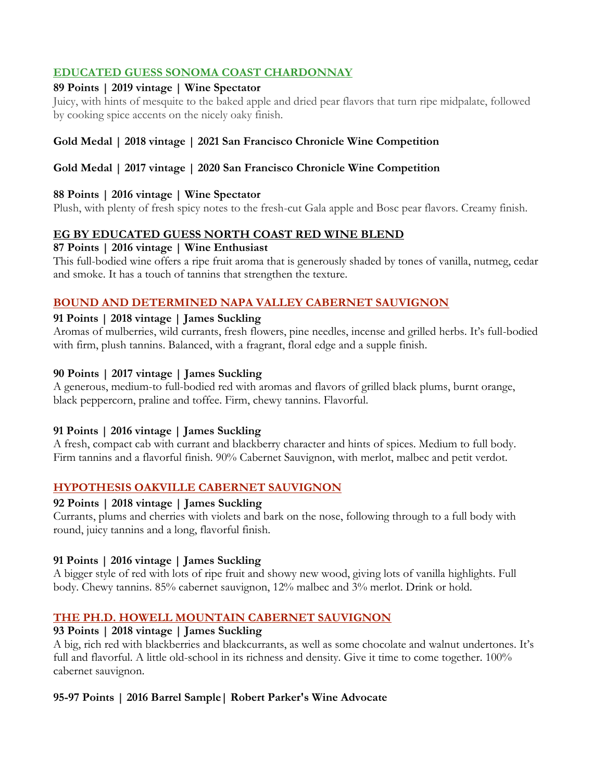## **EDUCATED GUESS SONOMA COAST CHARDONNAY**

#### **89 Points | 2019 vintage | Wine Spectator**

Juicy, with hints of mesquite to the baked apple and dried pear flavors that turn ripe midpalate, followed by cooking spice accents on the nicely oaky finish.

## **Gold Medal | 2018 vintage | 2021 San Francisco Chronicle Wine Competition**

## **Gold Medal | 2017 vintage | 2020 San Francisco Chronicle Wine Competition**

## **88 Points | 2016 vintage | Wine Spectator**

Plush, with plenty of fresh spicy notes to the fresh-cut Gala apple and Bosc pear flavors. Creamy finish.

## **EG BY EDUCATED GUESS NORTH COAST RED WINE BLEND**

## **87 Points | 2016 vintage | Wine Enthusiast**

This full-bodied wine offers a ripe fruit aroma that is generously shaded by tones of vanilla, nutmeg, cedar and smoke. It has a touch of tannins that strengthen the texture.

## **BOUND AND DETERMINED NAPA VALLEY CABERNET SAUVIGNON**

## **91 Points | 2018 vintage | James Suckling**

Aromas of mulberries, wild currants, fresh flowers, pine needles, incense and grilled herbs. It's full-bodied with firm, plush tannins. Balanced, with a fragrant, floral edge and a supple finish.

## **90 Points | 2017 vintage | James Suckling**

A generous, medium-to full-bodied red with aromas and flavors of grilled black plums, burnt orange, black peppercorn, praline and toffee. Firm, chewy tannins. Flavorful.

## **91 Points | 2016 vintage | James Suckling**

A fresh, compact cab with currant and blackberry character and hints of spices. Medium to full body. Firm tannins and a flavorful finish. 90% Cabernet Sauvignon, with merlot, malbec and petit verdot.

## **HYPOTHESIS OAKVILLE CABERNET SAUVIGNON**

## **92 Points | 2018 vintage | James Suckling**

Currants, plums and cherries with violets and bark on the nose, following through to a full body with round, juicy tannins and a long, flavorful finish.

## **91 Points | 2016 vintage | James Suckling**

A bigger style of red with lots of ripe fruit and showy new wood, giving lots of vanilla highlights. Full body. Chewy tannins. 85% cabernet sauvignon, 12% malbec and 3% merlot. Drink or hold.

## **THE PH.D. HOWELL MOUNTAIN CABERNET SAUVIGNON**

## **93 Points | 2018 vintage | James Suckling**

A big, rich red with blackberries and blackcurrants, as well as some chocolate and walnut undertones. It's full and flavorful. A little old-school in its richness and density. Give it time to come together. 100% cabernet sauvignon.

## **95-97 Points | 2016 Barrel Sample| Robert Parker's Wine Advocate**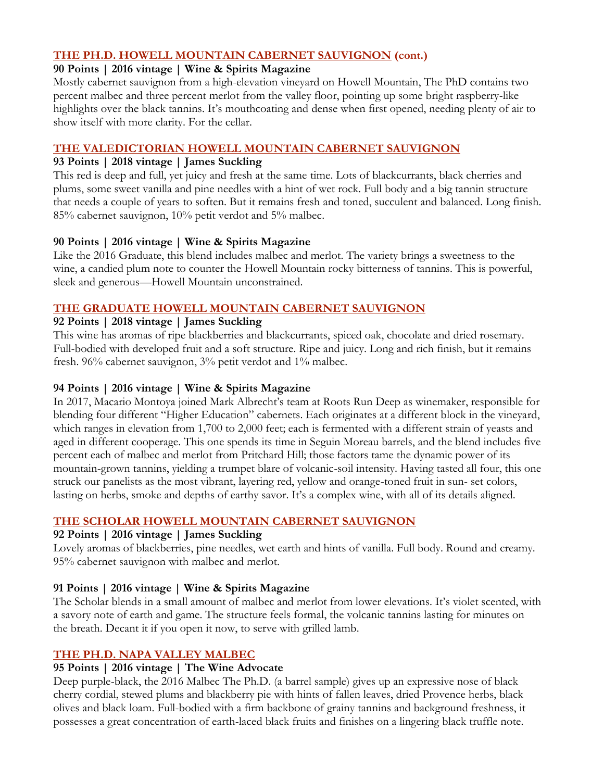#### **THE PH.D. HOWELL MOUNTAIN CABERNET SAUVIGNON (cont.)**

#### **90 Points | 2016 vintage | Wine & Spirits Magazine**

Mostly cabernet sauvignon from a high-elevation vineyard on Howell Mountain, The PhD contains two percent malbec and three percent merlot from the valley floor, pointing up some bright raspberry-like highlights over the black tannins. It's mouthcoating and dense when first opened, needing plenty of air to show itself with more clarity. For the cellar.

## **THE VALEDICTORIAN HOWELL MOUNTAIN CABERNET SAUVIGNON**

#### **93 Points | 2018 vintage | James Suckling**

This red is deep and full, yet juicy and fresh at the same time. Lots of blackcurrants, black cherries and plums, some sweet vanilla and pine needles with a hint of wet rock. Full body and a big tannin structure that needs a couple of years to soften. But it remains fresh and toned, succulent and balanced. Long finish. 85% cabernet sauvignon, 10% petit verdot and 5% malbec.

## **90 Points | 2016 vintage | Wine & Spirits Magazine**

Like the 2016 Graduate, this blend includes malbec and merlot. The variety brings a sweetness to the wine, a candied plum note to counter the Howell Mountain rocky bitterness of tannins. This is powerful, sleek and generous—Howell Mountain unconstrained.

#### **THE GRADUATE HOWELL MOUNTAIN CABERNET SAUVIGNON**

#### **92 Points | 2018 vintage | James Suckling**

This wine has aromas of ripe blackberries and blackcurrants, spiced oak, chocolate and dried rosemary. Full-bodied with developed fruit and a soft structure. Ripe and juicy. Long and rich finish, but it remains fresh. 96% cabernet sauvignon, 3% petit verdot and 1% malbec.

#### **94 Points | 2016 vintage | Wine & Spirits Magazine**

In 2017, Macario Montoya joined Mark Albrecht's team at Roots Run Deep as winemaker, responsible for blending four different "Higher Education" cabernets. Each originates at a different block in the vineyard, which ranges in elevation from 1,700 to 2,000 feet; each is fermented with a different strain of yeasts and aged in different cooperage. This one spends its time in Seguin Moreau barrels, and the blend includes five percent each of malbec and merlot from Pritchard Hill; those factors tame the dynamic power of its mountain-grown tannins, yielding a trumpet blare of volcanic-soil intensity. Having tasted all four, this one struck our panelists as the most vibrant, layering red, yellow and orange-toned fruit in sun- set colors, lasting on herbs, smoke and depths of earthy savor. It's a complex wine, with all of its details aligned.

## **THE SCHOLAR HOWELL MOUNTAIN CABERNET SAUVIGNON**

## **92 Points | 2016 vintage | James Suckling**

Lovely aromas of blackberries, pine needles, wet earth and hints of vanilla. Full body. Round and creamy. 95% cabernet sauvignon with malbec and merlot.

## **91 Points | 2016 vintage | Wine & Spirits Magazine**

The Scholar blends in a small amount of malbec and merlot from lower elevations. It's violet scented, with a savory note of earth and game. The structure feels formal, the volcanic tannins lasting for minutes on the breath. Decant it if you open it now, to serve with grilled lamb.

## **THE PH.D. NAPA VALLEY MALBEC**

## **95 Points | 2016 vintage | The Wine Advocate**

Deep purple-black, the 2016 Malbec The Ph.D. (a barrel sample) gives up an expressive nose of black cherry cordial, stewed plums and blackberry pie with hints of fallen leaves, dried Provence herbs, black olives and black loam. Full-bodied with a firm backbone of grainy tannins and background freshness, it possesses a great concentration of earth-laced black fruits and finishes on a lingering black truffle note.